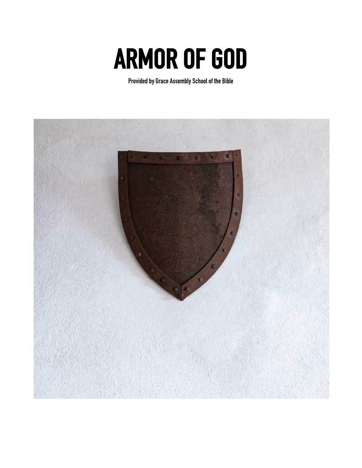# **ARMOR OF GOD Provided by Grace Assembly School of the Bible**

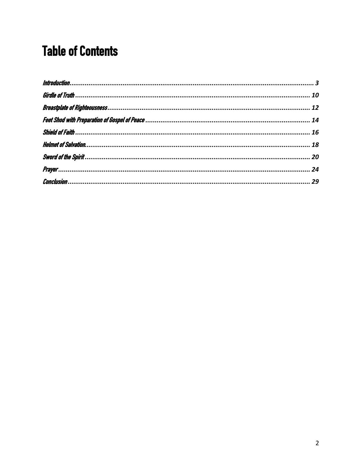# <span id="page-1-0"></span>**Table of Contents**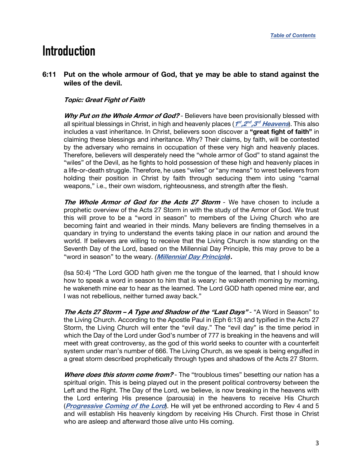# <span id="page-2-0"></span>**Introduction**

# **6:11 Put on the whole armour of God, that ye may be able to stand against the wiles of the devil.**

# **Topic: Great Fight of Faith**

**Why Put on the Whole Armor of God?** - Believers have been provisionally blessed with all spiritual blessings in Christ, in high and heavenly places (**1st ,2nd ,3rd [Heavens](https://graceassemblysandiego.info/wp-content/uploads/1st2ndand3rdHeavens.pdf)**). This also includes a vast inheritance. In Christ, believers soon discover a **"great fight of faith"** in claiming these blessings and inheritance. Why? Their claims, by faith, will be contested by the adversary who remains in occupation of these very high and heavenly places. Therefore, believers will desperately need the "whole armor of God" to stand against the "wiles" of the Devil, as he fights to hold possession of these high and heavenly places in a life-or-death struggle. Therefore, he uses "wiles" or "any means" to wrest believers from holding their position in Christ by faith through seducing them into using "carnal weapons," i.e., their own wisdom, righteousness, and strength after the flesh.

**The Whole Armor of God for the Acts 27 Storm** *-* We have chosen to include a prophetic overview of the Acts 27 Storm in with the study of the Armor of God. We trust this will prove to be a "word in season" to members of the Living Church who are becoming faint and wearied in their minds. Many believers are finding themselves in a quandary in trying to understand the events taking place in our nation and around the world. If believers are willing to receive that the Living Church is now standing on the Seventh Day of the Lord, based on the Millennial Day Principle, this may prove to be a "word in season" to the weary. *(***[Millennial Day Principle](https://graceassemblysandiego.info/wp-content/uploads/MillennialDayPrincipleopt.pdf)***)***.**

(Isa 50:4) "The Lord GOD hath given me the tongue of the learned, that I should know how to speak a word in season to him that is weary: he wakeneth morning by morning. he wakeneth mine ear to hear as the learned. The Lord GOD hath opened mine ear, and I was not rebellious, neither turned away back."

**The Acts 27 Storm – A Type and Shadow of the "Last Days"** - "A Word in Season" to the Living Church. According to the Apostle Paul in (Eph 6:13) and typified in the Acts 27 Storm, the Living Church will enter the "evil day." The "evil day" is the time period in which the Day of the Lord under God's number of 777 is breaking in the heavens and will meet with great controversy, as the god of this world seeks to counter with a counterfeit system under man's number of 666. The Living Church, as we speak is being engulfed in a great storm described prophetically through types and shadows of the Acts 27 Storm.

**Where does this storm come from?** - The "troublous times" besetting our nation has a spiritual origin. This is being played out in the present political controversy between the Left and the Right. The Day of the Lord, we believe, is now breaking in the heavens with the Lord entering His presence (parousia) in the heavens to receive His Church (**[Progressive Coming of the Lord](https://graceassemblysandiego.info/wp-content/uploads/ProgressiveComingoftheLordopt.pdf)**). He will yet be enthroned according to Rev 4 and 5 and will establish His heavenly kingdom by receiving His Church. First those in Christ who are asleep and afterward those alive unto His coming.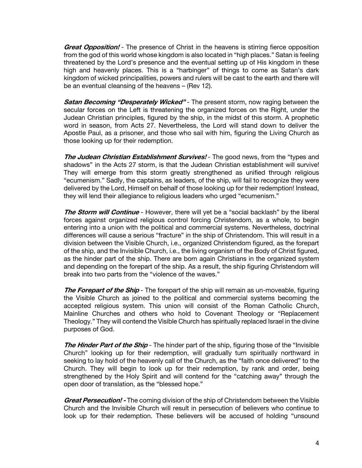**Great Opposition!** - The presence of Christ in the heavens is stirring fierce opposition from the god of this world whose kingdom is also located in "high places." Satan is feeling threatened by the Lord's presence and the eventual setting up of His kingdom in these high and heavenly places. This is a "harbinger" of things to come as Satan's dark kingdom of wicked principalities, powers and rulers will be cast to the earth and there will be an eventual cleansing of the heavens – (Rev 12).

**Satan Becoming "Desperately Wicked"** - The present storm, now raging between the secular forces on the Left is threatening the organized forces on the Right, under the Judean Christian principles, figured by the ship, in the midst of this storm. A prophetic word in season, from Acts 27. Nevertheless, the Lord will stand down to deliver the Apostle Paul, as a prisoner, and those who sail with him, figuring the Living Church as those looking up for their redemption.

**The Judean Christian Establishment Survives!** - The good news, from the "types and shadows" in the Acts 27 storm, is that the Judean Christian establishment will survive! They will emerge from this storm greatly strengthened as unified through religious "ecumenism." Sadly, the captains, as leaders, of the ship, will fail to recognize they were delivered by the Lord, Himself on behalf of those looking up for their redemption! Instead, they will lend their allegiance to religious leaders who urged "ecumenism."

**The Storm will Continue** - However, there will yet be a "social backlash" by the liberal forces against organized religious control forcing Christendom, as a whole, to begin entering into a union with the political and commercial systems. Nevertheless, doctrinal differences will cause a serious "fracture" in the ship of Christendom. This will result in a division between the Visible Church, i.e., organized Christendom figured, as the forepart of the ship, and the Invisible Church, i.e., the living organism of the Body of Christ figured, as the hinder part of the ship. There are born again Christians in the organized system and depending on the forepart of the ship. As a result, the ship figuring Christendom will break into two parts from the "violence of the waves."

**The Forepart of the Ship** - The forepart of the ship will remain as un-moveable, figuring the Visible Church as joined to the political and commercial systems becoming the accepted religious system. This union will consist of the Roman Catholic Church, Mainline Churches and others who hold to Covenant Theology or "Replacement Theology." They will contend the Visible Church has spiritually replaced Israel in the divine purposes of God.

**The Hinder Part of the Ship** - The hinder part of the ship, figuring those of the "Invisible" Church" looking up for their redemption, will gradually turn spiritually northward in seeking to lay hold of the heavenly call of the Church, as the "faith once delivered" to the Church. They will begin to look up for their redemption, by rank and order, being strengthened by the Holy Spirit and will contend for the "catching away" through the open door of translation, as the "blessed hope."

**Great Persecution! -** The coming division of the ship of Christendom between the Visible Church and the Invisible Church will result in persecution of believers who continue to look up for their redemption. These believers will be accused of holding "unsound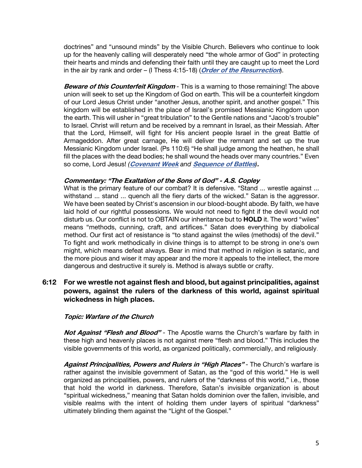doctrines" and "unsound minds" by the Visible Church. Believers who continue to look up for the heavenly calling will desperately need "the whole armor of God" in protecting their hearts and minds and defending their faith until they are caught up to meet the Lord in the air by rank and order – (I Thess 4:15-18) (**[Order of the Resurrection](https://graceassemblysandiego.info/wp-content/uploads/OrderofResurrectionopt.pdf)**).

**Beware of this Counterfeit Kingdom** *-* This is a warning to those remaining! The above union will seek to set up the Kingdom of God on earth. This will be a counterfeit kingdom of our Lord Jesus Christ under "another Jesus, another spirit, and another gospel." This kingdom will be established in the place of Israel's promised Messianic Kingdom upon the earth. This will usher in "great tribulation" to the Gentile nations and "Jacob's trouble" to Israel. Christ will return and be received by a remnant in Israel, as their Messiah. After that the Lord, Himself, will fight for His ancient people Israel in the great Battle of Armageddon. After great carnage, He will deliver the remnant and set up the true Messianic Kingdom under Israel. (Ps 110:6) "He shall judge among the heathen, he shall fill the places with the dead bodies; he shall wound the heads over many countries." Even so come, Lord Jesus! *(***[Covenant Week](https://graceassemblysandiego.info/wp-content/uploads/CovenantWeekopt.pdf)** *and* **[Sequence of Battles](https://graceassemblysandiego.info/wp-content/uploads/SequenceofBattlesopt.pdf)***)***.**

# **Commentary: "The Exaltation of the Sons of God" - A.S. Copley**

What is the primary feature of our combat? It is defensive. "Stand ... wrestle against ... withstand ... stand ... quench all the fiery darts of the wicked." Satan is the aggressor. We have been seated by Christ's ascension in our blood-bought abode. By faith, we have laid hold of our rightful possessions. We would not need to fight if the devil would not disturb us. Our conflict is not to OBTAIN our inheritance but to **HOLD** it. The word "wiles" means "methods, cunning, craft, and artifices." Satan does everything by diabolical method. Our first act of resistance is "to stand against the wiles (methods) of the devil." To fight and work methodically in divine things is to attempt to be strong in one's own might, which means defeat always. Bear in mind that method in religion is satanic, and the more pious and wiser it may appear and the more it appeals to the intellect, the more dangerous and destructive it surely is. Method is always subtle or crafty.

# **6:12 For we wrestle not against flesh and blood, but against principalities, against powers, against the rulers of the darkness of this world, against spiritual wickedness in high places.**

# **Topic: Warfare of the Church**

**Not Against "Flesh and Blood"** - The Apostle warns the Church's warfare by faith in these high and heavenly places is not against mere "flesh and blood." This includes the visible governments of this world, as organized politically, commercially, and religiously.

**Against Principalities, Powers and Rulers in "High Places"** - The Church's warfare is rather against the invisible government of Satan, as the "god of this world." He is well organized as principalities, powers, and rulers of the "darkness of this world," i.e., those that hold the world in darkness. Therefore, Satan's invisible organization is about "spiritual wickedness," meaning that Satan holds dominion over the fallen, invisible, and visible realms with the intent of holding them under layers of spiritual "darkness" ultimately blinding them against the "Light of the Gospel."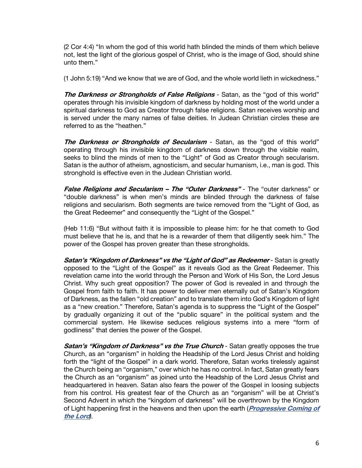(2 Cor 4:4) "In whom the god of this world hath blinded the minds of them which believe not, lest the light of the glorious gospel of Christ, who is the image of God, should shine unto them."

(1 John 5:19) "And we know that we are of God, and the whole world lieth in wickedness."

**The Darkness or Strongholds of False Religions** - Satan, as the "god of this world" operates through his invisible kingdom of darkness by holding most of the world under a spiritual darkness to God as Creator through false religions. Satan receives worship and is served under the many names of false deities. In Judean Christian circles these are referred to as the "heathen."

**The Darkness or Strongholds of Secularism** - Satan, as the "god of this world" operating through his invisible kingdom of darkness down through the visible realm, seeks to blind the minds of men to the "Light" of God as Creator through secularism. Satan is the author of atheism, agnosticism, and secular humanism, i.e., man is god. This stronghold is effective even in the Judean Christian world.

**False Religions and Secularism – The "Outer Darkness"** *-* The "outer darkness" or "double darkness" is when men's minds are blinded through the darkness of false religions and secularism. Both segments are twice removed from the "Light of God, as the Great Redeemer" and consequently the "Light of the Gospel."

(Heb 11:6) "But without faith it is impossible to please him: for he that cometh to God must believe that he is, and that he is a rewarder of them that diligently seek him." The power of the Gospel has proven greater than these strongholds.

**Satan's "Kingdom of Darkness" vs the "Light of God" as Redeemer** - Satan is greatly opposed to the "Light of the Gospel" as it reveals God as the Great Redeemer. This revelation came into the world through the Person and Work of His Son, the Lord Jesus Christ. Why such great opposition? The power of God is revealed in and through the Gospel from faith to faith. It has power to deliver men eternally out of Satan's Kingdom of Darkness, as the fallen "old creation" and to translate them into God's Kingdom of light as a "new creation." Therefore, Satan's agenda is to suppress the "Light of the Gospel" by gradually organizing it out of the "public square" in the political system and the commercial system. He likewise seduces religious systems into a mere "form of godliness" that denies the power of the Gospel.

**Satan's "Kingdom of Darkness" vs the True Church - Satan greatly opposes the true** Church, as an "organism" in holding the Headship of the Lord Jesus Christ and holding forth the "light of the Gospel" in a dark world. Therefore, Satan works tirelessly against the Church being an "organism," over which he has no control. In fact, Satan greatly fears the Church as an "organism" as joined unto the Headship of the Lord Jesus Christ and headquartered in heaven. Satan also fears the power of the Gospel in loosing subjects from his control. His greatest fear of the Church as an "organism" will be at Christ's Second Advent in which the "kingdom of darkness" will be overthrown by the Kingdom of Light happening first in the heavens and then upon the earth (**[Progressive Coming of](https://graceassemblysandiego.info/wp-content/uploads/ProgressiveComingoftheLordopt.pdf)  [the Lord](https://graceassemblysandiego.info/wp-content/uploads/ProgressiveComingoftheLordopt.pdf)***).*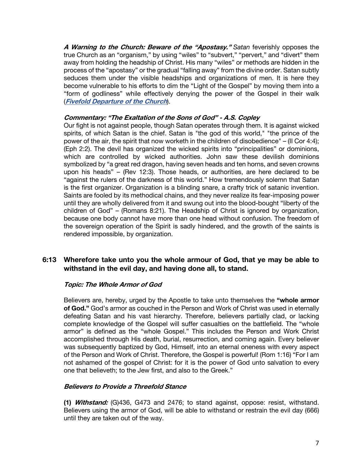**A Warning to the Church: Beware of the "Apostasy."** *Satan* feverishly opposes the true Church as an "organism," by using "wiles" to "subvert," "pervert," and "divert" them away from holding the headship of Christ. His many "wiles" or methods are hidden in the process of the "apostasy" or the gradual "falling away" from the divine order. Satan subtly seduces them under the visible headships and organizations of men. It is here they become vulnerable to his efforts to dim the "Light of the Gospel" by moving them into a "form of godliness" while effectively denying the power of the Gospel in their walk (**[Fivefold Departure of the Church](https://graceassemblysandiego.info/wp-content/uploads/FivefoldDepartureoftheChurch.pdf)**).

# **Commentary: "The Exaltation of the Sons of God" - A.S. Copley**

Our fight is not against people, though Satan operates through them. It is against wicked spirits, of which Satan is the chief. Satan is "the god of this world," "the prince of the power of the air, the spirit that now worketh in the children of disobedience" – (II Cor 4:4); (Eph 2:2). The devil has organized the wicked spirits into "principalities" or dominions, which are controlled by wicked authorities. John saw these devilish dominions symbolized by "a great red dragon, having seven heads and ten horns, and seven crowns upon his heads" – (Rev 12:3). Those heads, or authorities, are here declared to be "against the rulers of the darkness of this world." How tremendously solemn that Satan is the first organizer. Organization is a blinding snare, a crafty trick of satanic invention. Saints are fooled by its methodical chains, and they never realize its fear-imposing power until they are wholly delivered from it and swung out into the blood-bought "liberty of the children of God" – (Romans 8:21). The Headship of Christ is ignored by organization, because one body cannot have more than one head without confusion. The freedom of the sovereign operation of the Spirit is sadly hindered, and the growth of the saints is rendered impossible, by organization.

# **6:13 Wherefore take unto you the whole armour of God, that ye may be able to withstand in the evil day, and having done all, to stand.**

# **Topic: The Whole Armor of God**

Believers are, hereby, urged by the Apostle to take unto themselves the **"whole armor of God."** God's armor as couched in the Person and Work of Christ was used in eternally defeating Satan and his vast hierarchy. Therefore, believers partially clad, or lacking complete knowledge of the Gospel will suffer casualties on the battlefield. The "whole armor" is defined as the "whole Gospel." This includes the Person and Work Christ accomplished through His death, burial, resurrection, and coming again. Every believer was subsequently baptized by God, Himself, into an eternal oneness with every aspect of the Person and Work of Christ. Therefore, the Gospel is powerful! (Rom 1:16) "For I am not ashamed of the gospel of Christ: for it is the power of God unto salvation to every one that believeth; to the Jew first, and also to the Greek."

# **Believers to Provide a Threefold Stance**

**(1) Withstand:** (G)436, G473 and 2476; to stand against, oppose: resist, withstand. Believers using the armor of God, will be able to withstand or restrain the evil day (666) until they are taken out of the way.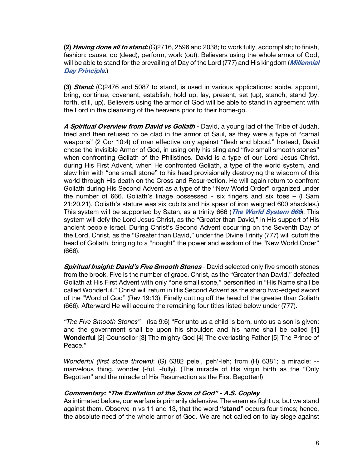**(2) Having done all to stand:** (G)2716, 2596 and 2038; to work fully, accomplish; to finish, fashion: cause, do (deed), perform, work (out). Believers using the whole armor of God, will be able to stand for the prevailing of Day of the Lord (777) and His kingdom (**[Millennial](https://graceassemblysandiego.info/wp-content/uploads/MillennialDayPrincipleopt.pdf) [Day Principle](https://graceassemblysandiego.info/wp-content/uploads/MillennialDayPrincipleopt.pdf)**.)

**(3) Stand:** (G)2476 and 5087 to stand, is used in various applications: abide, appoint, bring, continue, covenant, establish, hold up, lay, present, set (up), stanch, stand (by, forth, still, up). Believers using the armor of God will be able to stand in agreement with the Lord in the cleansing of the heavens prior to their home-go.

**A Spiritual Overview from David vs Goliath** - David, a young lad of the Tribe of Judah, tried and then refused to be clad in the armor of Saul, as they were a type of "carnal weapons" (2 Cor 10:4) of man effective only against "flesh and blood." Instead, David chose the invisible Armor of God, in using only his sling and "five small smooth stones" when confronting Goliath of the Philistines. David is a type of our Lord Jesus Christ, during His First Advent, when He confronted Goliath, a type of the world system, and slew him with "one small stone" to his head provisionally destroying the wisdom of this world through His death on the Cross and Resurrection. He will again return to confront Goliath during His Second Advent as a type of the "New World Order" organized under the number of 666. Goliath's linage possessed - six fingers and six toes – (I Sam 21:20,21). Goliath's stature was six cubits and his spear of iron weighed 600 shackles.) This system will be supported by Satan, as a trinity 666 (**[The](https://graceassemblysandiego.info/wp-content/uploads/TheWorldSystem666opt.pdf) [World](https://graceassemblysandiego.info/wp-content/uploads/TheWorldSystem666opt.pdf) [System](https://graceassemblysandiego.info/wp-content/uploads/TheWorldSystem666opt.pdf) [666](https://graceassemblysandiego.info/wp-content/uploads/TheWorldSystem666opt.pdf)**). This system will defy the Lord Jesus Christ, as the "Greater than David," in His support of His ancient people Israel. During Christ's Second Advent occurring on the Seventh Day of the Lord, Christ, as the "Greater than David," under the Divine Trinity (777) will cutoff the head of Goliath, bringing to a "nought" the power and wisdom of the "New World Order" (666).

**Spiritual Insight: David's Five Smooth Stones** - David selected only five smooth stones from the brook. Five is the number of grace. Christ, as the "Greater than David," defeated Goliath at His First Advent with only "one small stone," personified in "His Name shall be called Wonderful." Christ will return in His Second Advent as the sharp two-edged sword of the "Word of God" (Rev 19:13). Finally cutting off the head of the greater than Goliath (666). Afterward He will acquire the remaining four titles listed below under (777).

*"The Five Smooth Stones"* - (Isa 9:6) "For unto us a child is born, unto us a son is given: and the government shall be upon his shoulder: and his name shall be called **[1] Wonderful** [2] Counsellor [3] The mighty God [4] The everlasting Father [5] The Prince of Peace."

*Wonderful (first stone thrown)*: (G) 6382 pele', peh'-leh; from (H) 6381; a miracle: - marvelous thing, wonder (-ful, -fully). (The miracle of His virgin birth as the "Only Begotten" and the miracle of His Resurrection as the First Begotten!)

# **Commentary: "The Exaltation of the Sons of God" - A.S. Copley**

As intimated before, our warfare is primarily defensive. The enemies fight us, but we stand against them. Observe in vs 11 and 13, that the word **"stand"** occurs four times; hence, the absolute need of the whole armor of God. We are not called on to lay siege against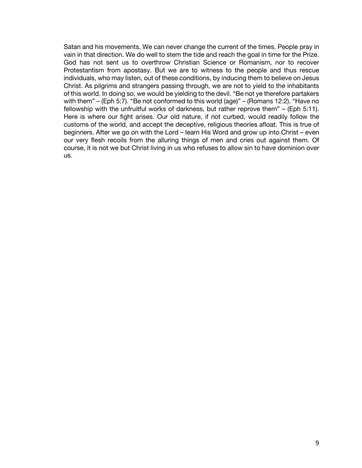Satan and his movements. We can never change the current of the times. People pray in vain in that direction. We do well to stem the tide and reach the goal in time for the Prize. God has not sent us to overthrow Christian Science or Romanism, nor to recover Protestantism from apostasy. But we are to witness to the people and thus rescue individuals, who may listen, out of these conditions, by inducing them to believe on Jesus Christ. As pilgrims and strangers passing through, we are not to yield to the inhabitants of this world. In doing so, we would be yielding to the devil. "Be not ye therefore partakers with them" – (Eph 5:7). "Be not conformed to this world (age)" – (Romans 12:2). "Have no fellowship with the unfruitful works of darkness, but rather reprove them" – (Eph 5:11). Here is where our fight arises. Our old nature, if not curbed, would readily follow the customs of the world, and accept the deceptive, religious theories afloat. This is true of beginners. After we go on with the Lord – learn His Word and grow up into Christ – even our very flesh recoils from the alluring things of men and cries out against them. Of course, it is not we but Christ living in us who refuses to allow sin to have dominion over us.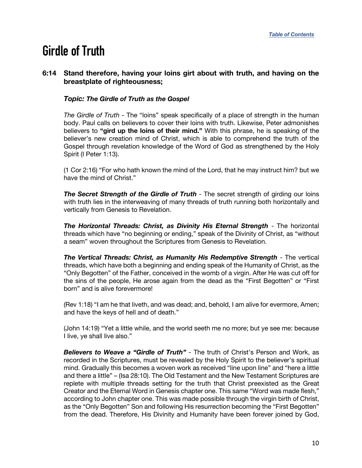# <span id="page-9-0"></span>**Girdle of Truth**

# **6:14 Stand therefore, having your loins girt about with truth, and having on the breastplate of righteousness;**

# *Topic: The Girdle of Truth as the Gospel*

*The Girdle of Truth* - The "loins" speak specifically of a place of strength in the human body. Paul calls on believers to cover their loins with truth. Likewise, Peter admonishes believers to **"gird up the loins of their mind."** With this phrase, he is speaking of the believer's new creation mind of Christ, which is able to comprehend the truth of the Gospel through revelation knowledge of the Word of God as strengthened by the Holy Spirit (I Peter 1:13).

(1 Cor 2:16) "For who hath known the mind of the Lord, that he may instruct him? but we have the mind of Christ."

*The Secret Strength of the Girdle of Truth -* The secret strength of girding our loins with truth lies in the interweaving of many threads of truth running both horizontally and vertically from Genesis to Revelation.

*The Horizontal Threads: Christ, as Divinity His Eternal Strength* - The horizontal threads which have "no beginning or ending," speak of the Divinity of Christ, as "without a seam" woven throughout the Scriptures from Genesis to Revelation.

*The Vertical Threads: Christ, as Humanity His Redemptive Strength* - The vertical threads, which have both a beginning and ending speak of the Humanity of Christ, as the "Only Begotten" of the Father, conceived in the womb of a virgin. After He was cut off for the sins of the people, He arose again from the dead as the "First Begotten" or "First born" and is alive forevermore!

(Rev 1:18) "I am he that liveth, and was dead; and, behold, I am alive for evermore, Amen; and have the keys of hell and of death."

(John 14:19) "Yet a little while, and the world seeth me no more; but ye see me: because I live, ye shall live also."

*Believers to Weave a "Girdle of Truth"* - The truth of Christ's Person and Work, as recorded in the Scriptures, must be revealed by the Holy Spirit to the believer's spiritual mind. Gradually this becomes a woven work as received "line upon line" and "here a little and there a little" – (Isa 28:10). The Old Testament and the New Testament Scriptures are replete with multiple threads setting for the truth that Christ preexisted as the Great Creator and the Eternal Word in Genesis chapter one. This same "Word was made flesh," according to John chapter one. This was made possible through the virgin birth of Christ, as the "Only Begotten" Son and following His resurrection becoming the "First Begotten" from the dead. Therefore, His Divinity and Humanity have been forever joined by God,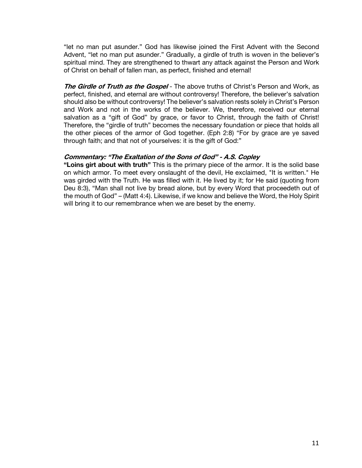"let no man put asunder." God has likewise joined the First Advent with the Second Advent, "let no man put asunder." Gradually, a girdle of truth is woven in the believer's spiritual mind. They are strengthened to thwart any attack against the Person and Work of Christ on behalf of fallen man, as perfect, finished and eternal!

**The Girdle of Truth as the Gospel** - The above truths of Christ's Person and Work, as perfect, finished, and eternal are without controversy! Therefore, the believer's salvation should also be without controversy! The believer's salvation rests solely in Christ's Person and Work and not in the works of the believer. We, therefore, received our eternal salvation as a "gift of God" by grace, or favor to Christ, through the faith of Christ! Therefore, the "girdle of truth" becomes the necessary foundation or piece that holds all the other pieces of the armor of God together. (Eph 2:8) "For by grace are ye saved through faith; and that not of yourselves: it is the gift of God:"

#### **Commentary: "The Exaltation of the Sons of God" - A.S. Copley**

**"Loins girt about with truth"** This is the primary piece of the armor. It is the solid base on which armor. To meet every onslaught of the devil, He exclaimed, "It is written." He was girded with the Truth. He was filled with it. He lived by it; for He said (quoting from Deu 8:3), "Man shall not live by bread alone, but by every Word that proceedeth out of the mouth of God" – (Matt 4:4). Likewise, if we know and believe the Word, the Holy Spirit will bring it to our remembrance when we are beset by the enemy.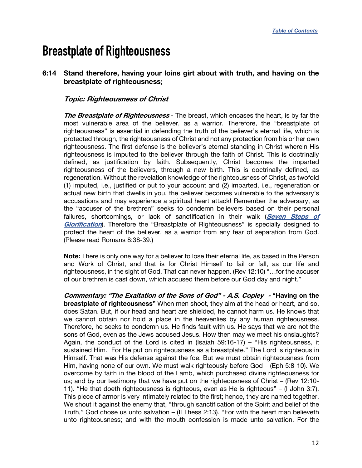# <span id="page-11-0"></span>**Breastplate of Righteousness**

# **6:14 Stand therefore, having your loins girt about with truth, and having on the breastplate of righteousness;**

# **Topic: Righteousness of Christ**

**The Breastplate of Righteousness** - The breast, which encases the heart, is by far the most vulnerable area of the believer, as a warrior. Therefore, the "breastplate of righteousness" is essential in defending the truth of the believer's eternal life, which is protected through, the righteousness of Christ and not any protection from his or her own righteousness. The first defense is the believer's eternal standing in Christ wherein His righteousness is imputed to the believer through the faith of Christ. This is doctrinally defined, as justification by faith. Subsequently, Christ becomes the imparted righteousness of the believers, through a new birth. This is doctrinally defined, as regeneration. Without the revelation knowledge of the righteousness of Christ, as twofold (1) imputed, i.e., justified or put to your account and (2) imparted, i.e., regeneration or actual new birth that dwells in you, the believer becomes vulnerable to the adversary's accusations and may experience a spiritual heart attack! Remember the adversary, as the "accuser of the brethren" seeks to condemn believers based on their personal failures, shortcomings, or lack of sanctification in their walk (**[Seven Steps of](https://graceassemblysandiego.info/wp-content/uploads/SevenStepsofGlorification.pdf)  [Glorification](https://graceassemblysandiego.info/wp-content/uploads/SevenStepsofGlorification.pdf)**). Therefore the "Breastplate of Righteousness" is specially designed to protect the heart of the believer, as a warrior from any fear of separation from God. (Please read Romans 8:38-39.)

**Note:** There is only one way for a believer to lose their eternal life, as based in the Person and Work of Christ, and that is for Christ Himself to fail or fall, as our life and righteousness, in the sight of God. That can never happen. (Rev 12:10) "…for the accuser of our brethren is cast down, which accused them before our God day and night."

**Commentary: "The Exaltation of the Sons of God" - A.S. Copley - "Having on the breastplate of righteousness"** When men shoot, they aim at the head or heart, and so, does Satan. But, if our head and heart are shielded, he cannot harm us. He knows that we cannot obtain nor hold a place in the heavenlies by any human righteousness. Therefore, he seeks to condemn us. He finds fault with us. He says that we are not the sons of God, even as the Jews accused Jesus. How then may we meet his onslaughts? Again, the conduct of the Lord is cited in (Isaiah  $59:16-17$ ) – "His righteousness, it sustained Him. For He put on righteousness as a breastplate." The Lord is righteous in Himself. That was His defense against the foe. But we must obtain righteousness from Him, having none of our own. We must walk righteously before God – (Eph 5:8-10). We overcome by faith in the blood of the Lamb, which purchased divine righteousness for us; and by our testimony that we have put on the righteousness of Christ – (Rev 12:10- 11). "He that doeth righteousness is righteous, even as He is righteous" – (I John 3:7). This piece of armor is very intimately related to the first; hence, they are named together. We shout it against the enemy that, "through sanctification of the Spirit and belief of the Truth," God chose us unto salvation – (II Thess 2:13). "For with the heart man believeth unto righteousness; and with the mouth confession is made unto salvation. For the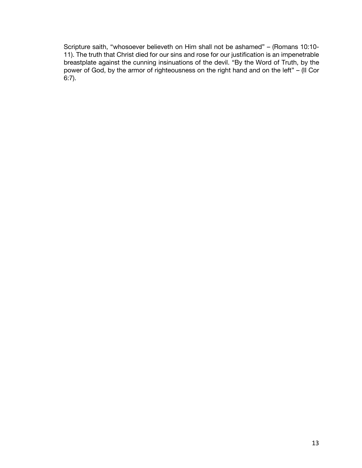Scripture saith, "whosoever believeth on Him shall not be ashamed" – (Romans 10:10- 11). The truth that Christ died for our sins and rose for our justification is an impenetrable breastplate against the cunning insinuations of the devil. "By the Word of Truth, by the power of God, by the armor of righteousness on the right hand and on the left" – (II Cor 6:7).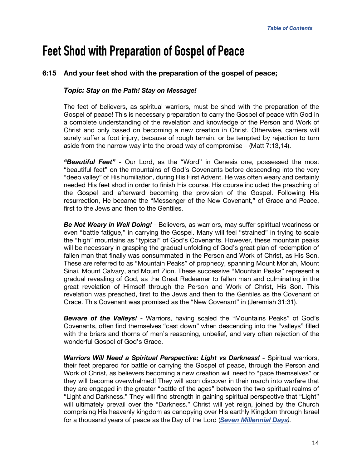# <span id="page-13-0"></span>**Feet Shod with Preparation of Gospel of Peace**

# **6:15 And your feet shod with the preparation of the gospel of peace;**

#### *Topic: Stay on the Path! Stay on Message!*

The feet of believers, as spiritual warriors, must be shod with the preparation of the Gospel of peace! This is necessary preparation to carry the Gospel of peace with God in a complete understanding of the revelation and knowledge of the Person and Work of Christ and only based on becoming a new creation in Christ. Otherwise, carriers will surely suffer a foot injury, because of rough terrain, or be tempted by rejection to turn aside from the narrow way into the broad way of compromise  $-$  (Matt 7:13,14).

*"Beautiful Feet"* **-** Our Lord, as the "Word" in Genesis one, possessed the most "beautiful feet" on the mountains of God's Covenants before descending into the very "deep valley" of His humiliation, during His First Advent. He was often weary and certainly needed His feet shod in order to finish His course. His course included the preaching of the Gospel and afterward becoming the provision of the Gospel. Following His resurrection, He became the "Messenger of the New Covenant," of Grace and Peace, first to the Jews and then to the Gentiles.

**Be Not Weary in Well Doing!** - Believers, as warriors, may suffer spiritual weariness or even "battle fatigue," in carrying the Gospel. Many will feel "strained" in trying to scale the "high" mountains as "typical" of God's Covenants. However, these mountain peaks will be necessary in grasping the gradual unfolding of God's great plan of redemption of fallen man that finally was consummated in the Person and Work of Christ, as His Son. These are referred to as "Mountain Peaks" of prophecy, spanning Mount Moriah, Mount Sinai, Mount Calvary, and Mount Zion. These successive "Mountain Peaks" represent a gradual revealing of God, as the Great Redeemer to fallen man and culminating in the great revelation of Himself through the Person and Work of Christ, His Son. This revelation was preached, first to the Jews and then to the Gentiles as the Covenant of Grace. This Covenant was promised as the "New Covenant" in (Jeremiah 31:31).

*Beware of the Valleys!* - Warriors, having scaled the "Mountains Peaks" of God's Covenants, often find themselves "cast down" when descending into the "valleys" filled with the briars and thorns of men's reasoning, unbelief, and very often rejection of the wonderful Gospel of God's Grace.

*Warriors Will Need a Spiritual Perspective: Light vs Darkness! -* Spiritual warriors, their feet prepared for battle or carrying the Gospel of peace, through the Person and Work of Christ, as believers becoming a new creation will need to "pace themselves" or they will become overwhelmed! They will soon discover in their march into warfare that they are engaged in the greater "battle of the ages" between the two spiritual realms of "Light and Darkness." They will find strength in gaining spiritual perspective that "Light" will ultimately prevail over the "Darkness." Christ will yet reign, joined by the Church comprising His heavenly kingdom as canopying over His earthly Kingdom through Israel for a thousand years of peace as the Day of the Lord (*[Seven Millennial Days](https://graceassemblysandiego.info/wp-content/uploads/SevenMillennialDaysopt.pdf)).*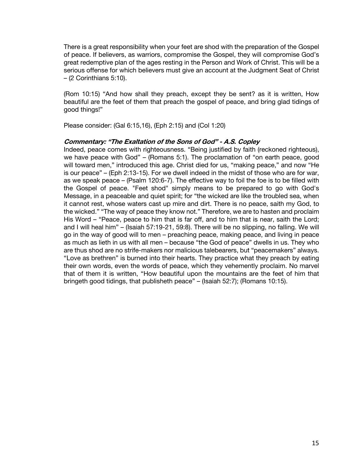There is a great responsibility when your feet are shod with the preparation of the Gospel of peace. If believers, as warriors, compromise the Gospel, they will compromise God's great redemptive plan of the ages resting in the Person and Work of Christ. This will be a serious offense for which believers must give an account at the Judgment Seat of Christ – (2 Corinthians 5:10).

(Rom 10:15) "And how shall they preach, except they be sent? as it is written, How beautiful are the feet of them that preach the gospel of peace, and bring glad tidings of good things!"

Please consider: (Gal 6:15,16), (Eph 2:15) and (Col 1:20)

#### **Commentary: "The Exaltation of the Sons of God" - A.S. Copley**

Indeed, peace comes with righteousness. "Being justified by faith (reckoned righteous), we have peace with God" – (Romans 5:1). The proclamation of "on earth peace, good will toward men," introduced this age. Christ died for us, "making peace," and now "He is our peace" – (Eph 2:13-15). For we dwell indeed in the midst of those who are for war, as we speak peace – (Psalm 120:6-7). The effective way to foil the foe is to be filled with the Gospel of peace. "Feet shod" simply means to be prepared to go with God's Message, in a peaceable and quiet spirit; for "the wicked are like the troubled sea, when it cannot rest, whose waters cast up mire and dirt. There is no peace, saith my God, to the wicked." "The way of peace they know not." Therefore, we are to hasten and proclaim His Word – "Peace, peace to him that is far off, and to him that is near, saith the Lord; and I will heal him" – (Isaiah 57:19-21, 59:8). There will be no slipping, no falling. We will go in the way of good will to men – preaching peace, making peace, and living in peace as much as lieth in us with all men – because "the God of peace" dwells in us. They who are thus shod are no strife-makers nor malicious talebearers, but "peacemakers" always. "Love as brethren" is burned into their hearts. They practice what they preach by eating their own words, even the words of peace, which they vehemently proclaim. No marvel that of them it is written, "How beautiful upon the mountains are the feet of him that bringeth good tidings, that publisheth peace" – (Isaiah 52:7); (Romans 10:15).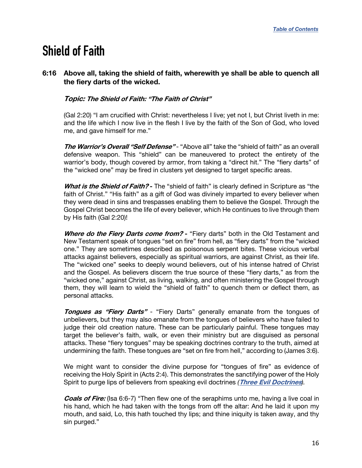# <span id="page-15-0"></span>**Shield of Faith**

# **6:16 Above all, taking the shield of faith, wherewith ye shall be able to quench all the fiery darts of the wicked.**

# **Topic: The Shield of Faith: "The Faith of Christ"**

(Gal 2:20) "I am crucified with Christ: nevertheless I live; yet not I, but Christ liveth in me: and the life which I now live in the flesh I live by the faith of the Son of God, who loved me, and gave himself for me."

**The Warrior's Overall "Self Defense"** - "Above all" take the "shield of faith" as an overall defensive weapon. This "shield" can be maneuvered to protect the entirety of the warrior's body, though covered by armor, from taking a "direct hit." The "fiery darts" of the "wicked one" may be fired in clusters yet designed to target specific areas.

**What is the Shield of Faith? -** The "shield of faith" is clearly defined in Scripture as "the faith of Christ." "His faith" as a gift of God was divinely imparted to every believer when they were dead in sins and trespasses enabling them to believe the Gospel. Through the Gospel Christ becomes the life of every believer, which He continues to live through them by His faith (Gal 2:20)!

Where do the Fiery Darts come from? - "Fiery darts" both in the Old Testament and New Testament speak of tongues "set on fire" from hell, as "fiery darts" from the "wicked one." They are sometimes described as poisonous serpent bites. These vicious verbal attacks against believers, especially as spiritual warriors, are against Christ, as their life. The "wicked one" seeks to deeply wound believers, out of his intense hatred of Christ and the Gospel. As believers discern the true source of these "fiery darts," as from the "wicked one," against Christ, as living, walking, and often ministering the Gospel through them, they will learn to wield the "shield of faith" to quench them or deflect them, as personal attacks.

**Tongues as "Fiery Darts"** - "Fiery Darts" generally emanate from the tongues of unbelievers, but they may also emanate from the tongues of believers who have failed to judge their old creation nature. These can be particularly painful. These tongues may target the believer's faith, walk, or even their ministry but are disguised as personal attacks. These "fiery tongues" may be speaking doctrines contrary to the truth, aimed at undermining the faith. These tongues are "set on fire from hell," according to (James 3:6).

We might want to consider the divine purpose for "tongues of fire" as evidence of receiving the Holy Spirit in (Acts 2:4). This demonstrates the sanctifying power of the Holy Spirit to purge lips of believers from speaking evil doctrines *(***[Three Evil Doctrines](https://graceassemblysandiego.info/wp-content/uploads/ThreeEvilDoctrines.pdf)***).*

**Coals of Fire:** (Isa 6:6-7) "Then flew one of the seraphims unto me, having a live coal in his hand, which he had taken with the tongs from off the altar: And he laid it upon my mouth, and said, Lo, this hath touched thy lips; and thine iniquity is taken away, and thy sin purged."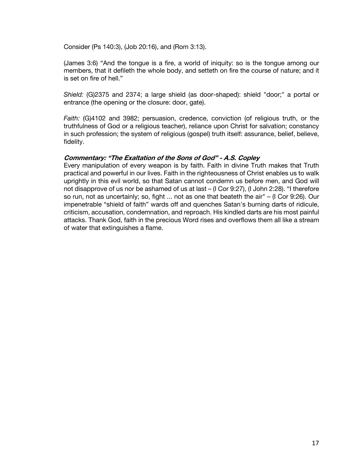Consider (Ps 140:3), (Job 20:16), and (Rom 3:13).

(James 3:6) "And the tongue is a fire, a world of iniquity: so is the tongue among our members, that it defileth the whole body, and setteth on fire the course of nature; and it is set on fire of hell."

*Shield:* (G)2375 and 2374; a large shield (as door-shaped): shield "door;" a portal or entrance (the opening or the closure: door, gate).

*Faith:* (G)4102 and 3982; persuasion, credence, conviction (of religious truth, or the truthfulness of God or a religious teacher), reliance upon Christ for salvation; constancy in such profession; the system of religious (gospel) truth itself: assurance, belief, believe, fidelity.

# **Commentary: "The Exaltation of the Sons of God" - A.S. Copley**

Every manipulation of every weapon is by faith. Faith in divine Truth makes that Truth practical and powerful in our lives. Faith in the righteousness of Christ enables us to walk uprightly in this evil world, so that Satan cannot condemn us before men, and God will not disapprove of us nor be ashamed of us at last – (I Cor 9:27), (I John 2:28). "I therefore so run, not as uncertainly; so, fight ... not as one that beateth the air" – (I Cor 9:26). Our impenetrable "shield of faith" wards off and quenches Satan's burning darts of ridicule, criticism, accusation, condemnation, and reproach. His kindled darts are his most painful attacks. Thank God, faith in the precious Word rises and overflows them all like a stream of water that extinguishes a flame.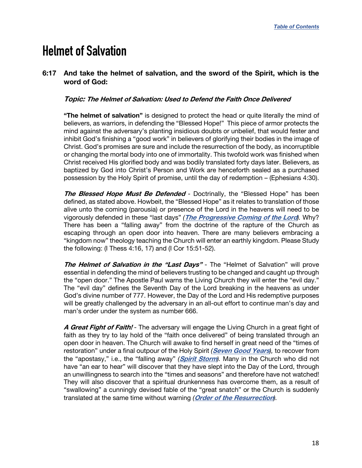# <span id="page-17-0"></span>**Helmet of Salvation**

# **6:17 And take the helmet of salvation, and the sword of the Spirit, which is the word of God:**

### **Topic: The Helmet of Salvation: Used to Defend the Faith Once Delivered**

**"The helmet of salvation"** is designed to protect the head or quite literally the mind of believers, as warriors, in defending the "Blessed Hope!" This piece of armor protects the mind against the adversary's planting insidious doubts or unbelief, that would fester and inhibit God's finishing a "good work" in believers of glorifying their bodies in the image of Christ. God's promises are sure and include the resurrection of the body, as incorruptible or changing the mortal body into one of immortality. This twofold work was finished when Christ received His glorified body and was bodily translated forty days later. Believers, as baptized by God into Christ's Person and Work are henceforth sealed as a purchased possession by the Holy Spirit of promise, until the day of redemption – (Ephesians 4:30).

**The Blessed Hope Must Be Defended** - Doctrinally, the "Blessed Hope" has been defined, as stated above. Howbeit, the "Blessed Hope" as it relates to translation of those alive unto the coming (parousia) or presence of the Lord in the heavens will need to be vigorously defended in these "last days" *(***[The Progressive Coming of the Lord](https://graceassemblysandiego.info/wp-content/uploads/ProgressiveComingoftheLordopt.pdf)***).* Why? There has been a "falling away" from the doctrine of the rapture of the Church as escaping through an open door into heaven. There are many believers embracing a "kingdom now" theology teaching the Church will enter an earthly kingdom. Please Study the following: (I Thess 4:16, 17) and (I Cor 15:51-52).

**The Helmet of Salvation in the "Last Days"** - The "Helmet of Salvation" will prove essential in defending the mind of believers trusting to be changed and caught up through the "open door." The Apostle Paul warns the Living Church they will enter the "evil day." The "evil day" defines the Seventh Day of the Lord breaking in the heavens as under God's divine number of 777. However, the Day of the Lord and His redemptive purposes will be greatly challenged by the adversary in an all-out effort to continue man's day and man's order under the system as number 666.

**A Great Fight of Faith!** - The adversary will engage the Living Church in a great fight of faith as they try to lay hold of the "faith once delivered" of being translated through an open door in heaven. The Church will awake to find herself in great need of the "times of restoration" under a final outpour of the Holy Spirit *(***[Seven Good Years](https://graceassemblysandiego.info/wp-content/uploads/SevenGoodYearsandSevenEvilYears.pdf)***),* to recover from the "apostasy," i.e., the "falling away" *(***[Spirit Storm](https://graceassemblysandiego.info/wp-content/uploads/SpiritStorm.pdf)***).* Many in the Church who did not have "an ear to hear" will discover that they have slept into the Day of the Lord, through an unwillingness to search into the "times and seasons" and therefore have not watched! They will also discover that a spiritual drunkenness has overcome them, as a result of "swallowing" a cunningly devised fable of the "great snatch" or the Church is suddenly translated at the same time without warning *(***[Order of the Resurrection](https://graceassemblysandiego.info/wp-content/uploads/OrderofResurrectionopt.pdf)***).*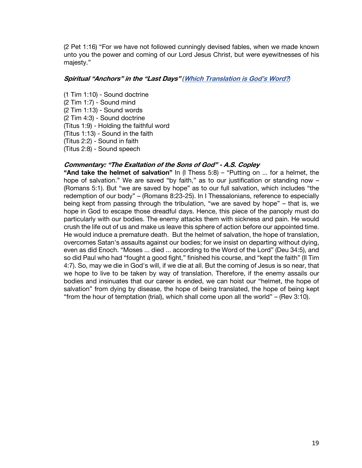(2 Pet 1:16) "For we have not followed cunningly devised fables, when we made known unto you the power and coming of our Lord Jesus Christ, but were eyewitnesses of his majesty."

#### **Spiritual "Anchors" in the "Last Days"** *(***[Which](https://graceassemblysandiego.info/wp-content/uploads/WhichTranslationisGodsWordArticle.pdf) [Translation](https://graceassemblysandiego.info/wp-content/uploads/WhichTranslationisGodsWordArticle.pdf) [is](https://graceassemblysandiego.info/wp-content/uploads/WhichTranslationisGodsWordArticle.pdf) [God's](https://graceassemblysandiego.info/wp-content/uploads/WhichTranslationisGodsWordArticle.pdf) [Word?](https://graceassemblysandiego.info/wp-content/uploads/WhichTranslationisGodsWordArticle.pdf)***)*

(1 Tim 1:10) - Sound doctrine (2 Tim 1:7) - Sound mind (2 Tim 1:13) - Sound words (2 Tim 4:3) - Sound doctrine (Titus 1:9) - Holding the faithful word (Titus 1:13) - Sound in the faith (Titus 2:2) - Sound in faith (Titus 2:8) - Sound speech

#### **Commentary: "The Exaltation of the Sons of God" - A.S. Copley**

**"And take the helmet of salvation"** In (I Thess 5:8) – "Putting on ... for a helmet, the hope of salvation." We are saved "by faith," as to our justification or standing now -(Romans 5:1). But "we are saved by hope" as to our full salvation, which includes "the redemption of our body" – (Romans 8:23-25). In I Thessalonians, reference to especially being kept from passing through the tribulation, "we are saved by hope" – that is, we hope in God to escape those dreadful days. Hence, this piece of the panoply must do particularly with our bodies. The enemy attacks them with sickness and pain. He would crush the life out of us and make us leave this sphere of action before our appointed time. He would induce a premature death. But the helmet of salvation, the hope of translation, overcomes Satan's assaults against our bodies; for we insist on departing without dying, even as did Enoch. "Moses ... died ... according to the Word of the Lord" (Deu 34:5), and so did Paul who had "fought a good fight," finished his course, and "kept the faith" (II Tim 4:7). So, may we die in God's will, if we die at all. But the coming of Jesus is so near, that we hope to live to be taken by way of translation. Therefore, if the enemy assails our bodies and insinuates that our career is ended, we can hoist our "helmet, the hope of salvation" from dying by disease, the hope of being translated, the hope of being kept "from the hour of temptation (trial), which shall come upon all the world" – (Rev 3:10).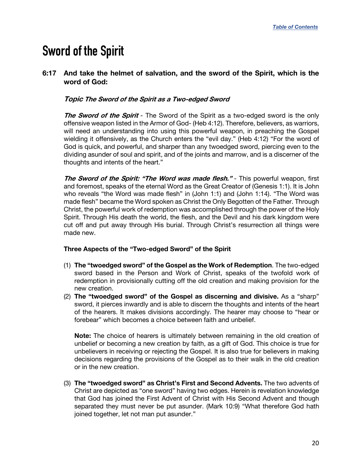# <span id="page-19-0"></span>**Sword of the Spirit**

# **6:17 And take the helmet of salvation, and the sword of the Spirit, which is the word of God:**

### **Topic The Sword of the Spirit as a Two-edged Sword**

**The Sword of the Spirit** *-* The Sword of the Spirit as a two-edged sword is the only offensive weapon listed in the Armor of God- (Heb 4:12). Therefore, believers, as warriors, will need an understanding into using this powerful weapon, in preaching the Gospel wielding it offensively, as the Church enters the "evil day." (Heb 4:12) "For the word of God is quick, and powerful, and sharper than any twoedged sword, piercing even to the dividing asunder of soul and spirit, and of the joints and marrow, and is a discerner of the thoughts and intents of the heart."

**The Sword of the Spirit: "The Word was made flesh."** *-* This powerful weapon, first and foremost, speaks of the eternal Word as the Great Creator of (Genesis 1:1). It is John who reveals "the Word was made flesh" in (John 1:1) and (John 1:14). "The Word was made flesh" became the Word spoken as Christ the Only Begotten of the Father. Through Christ, the powerful work of redemption was accomplished through the power of the Holy Spirit. Through His death the world, the flesh, and the Devil and his dark kingdom were cut off and put away through His burial. Through Christ's resurrection all things were made new.

#### **Three Aspects of the "Two-edged Sword" of the Spirit**

- (1) **The "twoedged sword" of the Gospel as the Work of Redemption**. The two-edged sword based in the Person and Work of Christ, speaks of the twofold work of redemption in provisionally cutting off the old creation and making provision for the new creation.
- (2) **The "twoedged sword" of the Gospel as discerning and divisive.** As a "sharp" sword, it pierces inwardly and is able to discern the thoughts and intents of the heart of the hearers. It makes divisions accordingly. The hearer may choose to "hear or forebear" which becomes a choice between faith and unbelief.

**Note:** The choice of hearers is ultimately between remaining in the old creation of unbelief or becoming a new creation by faith, as a gift of God. This choice is true for unbelievers in receiving or rejecting the Gospel. It is also true for believers in making decisions regarding the provisions of the Gospel as to their walk in the old creation or in the new creation.

(3) **The "twoedged sword" as Christ's First and Second Advents.** The two advents of Christ are depicted as "one sword" having two edges. Herein is revelation knowledge that God has joined the First Advent of Christ with His Second Advent and though separated they must never be put asunder. (Mark 10:9) "What therefore God hath joined together, let not man put asunder."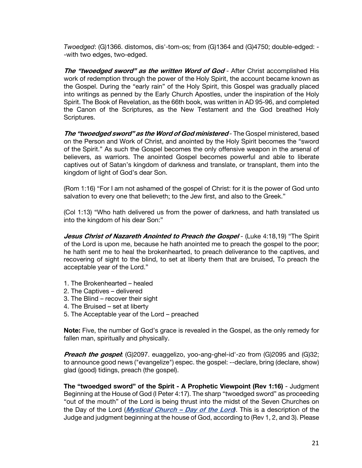*Twoedged*: (G)1366. distomos, dis'-tom-os; from (G)1364 and (G)4750; double-edged: - -with two edges, two-edged.

**The "twoedged sword" as the written Word of God** - After Christ accomplished His work of redemption through the power of the Holy Spirit, the account became known as the Gospel. During the "early rain" of the Holy Spirit, this Gospel was gradually placed into writings as penned by the Early Church Apostles, under the inspiration of the Holy Spirit. The Book of Revelation, as the 66th book, was written in AD 95-96, and completed the Canon of the Scriptures, as the New Testament and the God breathed Holy Scriptures.

**The "twoedged sword" as the Word of God ministered** - The Gospel ministered, based on the Person and Work of Christ, and anointed by the Holy Spirit becomes the "sword of the Spirit." As such the Gospel becomes the only offensive weapon in the arsenal of believers, as warriors. The anointed Gospel becomes powerful and able to liberate captives out of Satan's kingdom of darkness and translate, or transplant, them into the kingdom of light of God's dear Son.

(Rom 1:16) "For I am not ashamed of the gospel of Christ: for it is the power of God unto salvation to every one that believeth; to the Jew first, and also to the Greek."

(Col 1:13) "Who hath delivered us from the power of darkness, and hath translated us into the kingdom of his dear Son:"

*Jesus Christ of Nazareth Anointed to Preach the Gospel* **- (Luke 4:18,19) "The Spirit** of the Lord is upon me, because he hath anointed me to preach the gospel to the poor; he hath sent me to heal the brokenhearted, to preach deliverance to the captives, and recovering of sight to the blind, to set at liberty them that are bruised, To preach the acceptable year of the Lord."

- 1. The Brokenhearted healed
- 2. The Captives delivered
- 3. The Blind recover their sight
- 4. The Bruised set at liberty
- 5. The Acceptable year of the Lord preached

**Note:** Five, the number of God's grace is revealed in the Gospel, as the only remedy for fallen man, spiritually and physically.

**Preach the gospet.** (G)2097. euaggelizo, yoo-ang-ghel-id'-zo from (G)2095 and (G)32; to announce good news ("evangelize") espec. the gospel: --declare, bring (declare, show) glad (good) tidings, preach (the gospel).

**The "twoedged sword" of the Spirit - A Prophetic Viewpoint (Rev 1:16)** - Judgment Beginning at the House of God (I Peter 4:17). The sharp "twoedged sword" as proceeding "out of the mouth" of the Lord is being thrust into the midst of the Seven Churches on the Day of the Lord (**[Mystical Church – Day of the Lord](https://graceassemblysandiego.info/wp-content/uploads/MysticalChurchDayoftheLordopt.pdf)***)*. This is a description of the Judge and judgment beginning at the house of God, according to (Rev 1, 2, and 3). Please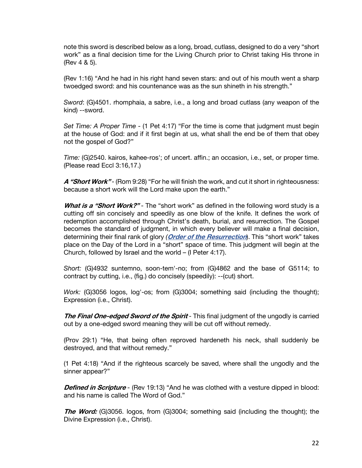note this sword is described below as a long, broad, cutlass, designed to do a very "short work" as a final decision time for the Living Church prior to Christ taking His throne in (Rev 4 & 5).

(Rev 1:16) "And he had in his right hand seven stars: and out of his mouth went a sharp twoedged sword: and his countenance was as the sun shineth in his strength."

*Sword*: (G)4501. rhomphaia, a sabre, i.e., a long and broad cutlass (any weapon of the kind) --sword.

*Set Time: A Proper Time* - (1 Pet 4:17) "For the time is come that judgment must begin at the house of God: and if it first begin at us, what shall the end be of them that obey not the gospel of God?"

*Time:* (G)2540. kairos, kahee-ros'; of uncert. affin.; an occasion, i.e., set, or proper time. (Please read Eccl 3:16,17.)

A "Short Work" - (Rom 9:28) "For he will finish the work, and cut it short in righteousness: because a short work will the Lord make upon the earth."

**What is a "Short Work?"** - The "short work" as defined in the following word study is a cutting off sin concisely and speedily as one blow of the knife. It defines the work of redemption accomplished through Christ's death, burial, and resurrection. The Gospel becomes the standard of judgment, in which every believer will make a final decision, determining their final rank of glory *(***[Order of the Resurrection](https://graceassemblysandiego.info/wp-content/uploads/OrderofResurrectionopt.pdf)**). This "short work" takes place on the Day of the Lord in a "short" space of time. This judgment will begin at the Church, followed by Israel and the world – (I Peter 4:17).

*Short:* (G)4932 suntemno, soon-tem'-no; from (G)4862 and the base of G5114; to contract by cutting, i.e., (fig.) do concisely (speedily): --(cut) short.

*Work:* (G)3056 logos, log'-os; from (G)3004; something said (including the thought); Expression (i.e., Christ).

**The Final One-edged Sword of the Spirit** - This final judgment of the ungodly is carried out by a one-edged sword meaning they will be cut off without remedy.

(Prov 29:1) "He, that being often reproved hardeneth his neck, shall suddenly be destroyed, and that without remedy."

(1 Pet 4:18) "And if the righteous scarcely be saved, where shall the ungodly and the sinner appear?"

**Defined in Scripture** - (Rev 19:13) "And he was clothed with a vesture dipped in blood: and his name is called The Word of God."

**The Word:** (G)3056. logos, from (G)3004; something said (including the thought); the Divine Expression (i.e., Christ).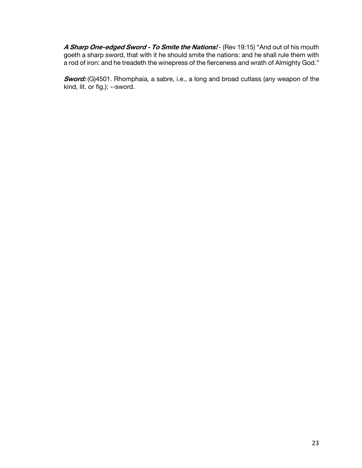**A Sharp One-edged Sword - To Smite the Nations!** - (Rev 19:15) "And out of his mouth goeth a sharp sword, that with it he should smite the nations: and he shall rule them with a rod of iron: and he treadeth the winepress of the fierceness and wrath of Almighty God."

**Sword:** (G)4501. Rhomphaia, a sabre, i.e., a long and broad cutlass (any weapon of the kind, lit. or fig.): --sword.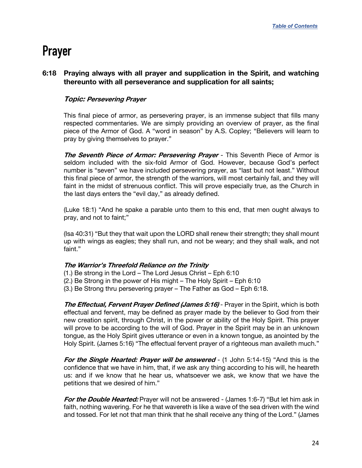# <span id="page-23-0"></span>**Prayer**

# **6:18 Praying always with all prayer and supplication in the Spirit, and watching thereunto with all perseverance and supplication for all saints;**

# **Topic: Persevering Prayer**

This final piece of armor, as persevering prayer, is an immense subject that fills many respected commentaries. We are simply providing an overview of prayer, as the final piece of the Armor of God. A "word in season" by A.S. Copley; "Believers will learn to pray by giving themselves to prayer."

**The Seventh Piece of Armor: Persevering Prayer** - This Seventh Piece of Armor is seldom included with the six-fold Armor of God. However, because God's perfect number is "seven" we have included persevering prayer, as "last but not least." Without this final piece of armor, the strength of the warriors, will most certainly fail, and they will faint in the midst of strenuous conflict. This will prove especially true, as the Church in the last days enters the "evil day," as already defined.

(Luke 18:1) "And he spake a parable unto them to this end, that men ought always to pray, and not to faint;"

(Isa 40:31) "But they that wait upon the LORD shall renew their strength; they shall mount up with wings as eagles; they shall run, and not be weary; and they shall walk, and not faint."

#### **The Warrior's Threefold Reliance on the Trinity**

- (1.) Be strong in the Lord The Lord Jesus Christ Eph 6:10
- (2.) Be Strong in the power of His might The Holy Spirit Eph 6:10
- (3.) Be Strong thru persevering prayer The Father as God Eph 6:18.

**The Effectual, Fervent Prayer Defined (James 5:16)** - Prayer in the Spirit, which is both effectual and fervent, may be defined as prayer made by the believer to God from their new creation spirit, through Christ, in the power or ability of the Holy Spirit. This prayer will prove to be according to the will of God. Prayer in the Spirit may be in an unknown tongue, as the Holy Spirit gives utterance or even in a known tongue, as anointed by the Holy Spirit. (James 5:16) "The effectual fervent prayer of a righteous man availeth much."

**For the Single Hearted: Prayer will be answered** - (1 John 5:14-15) "And this is the confidence that we have in him, that, if we ask any thing according to his will, he heareth us: and if we know that he hear us, whatsoever we ask, we know that we have the petitions that we desired of him."

**For the Double Hearted:** Prayer will not be answered - (James 1:6-7) "But let him ask in faith, nothing wavering. For he that wavereth is like a wave of the sea driven with the wind and tossed. For let not that man think that he shall receive any thing of the Lord." (James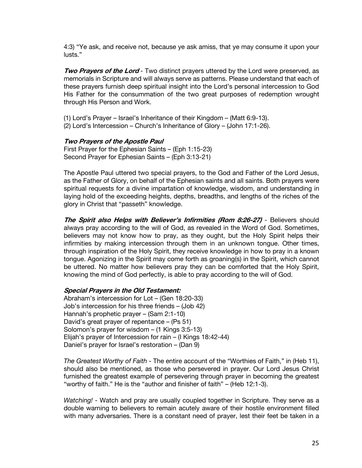4:3) "Ye ask, and receive not, because ye ask amiss, that ye may consume it upon your lusts."

**Two Prayers of the Lord** - Two distinct prayers uttered by the Lord were preserved, as memorials in Scripture and will always serve as patterns. Please understand that each of these prayers furnish deep spiritual insight into the Lord's personal intercession to God His Father for the consummation of the two great purposes of redemption wrought through His Person and Work.

(1) Lord's Prayer – Israel's Inheritance of their Kingdom – (Matt 6:9-13). (2) Lord's Intercession – Church's Inheritance of Glory – (John 17:1-26).

#### **Two Prayers of the Apostle Paul**

First Prayer for the Ephesian Saints – (Eph 1:15-23) Second Prayer for Ephesian Saints – (Eph 3:13-21)

The Apostle Paul uttered two special prayers, to the God and Father of the Lord Jesus, as the Father of Glory, on behalf of the Ephesian saints and all saints. Both prayers were spiritual requests for a divine impartation of knowledge, wisdom, and understanding in laying hold of the exceeding heights, depths, breadths, and lengths of the riches of the glory in Christ that "passeth" knowledge.

**The Spirit also Helps with Believer's Infirmities (Rom 8:26-27)** - Believers should always pray according to the will of God, as revealed in the Word of God. Sometimes, believers may not know how to pray, as they ought, but the Holy Spirit helps their infirmities by making intercession through them in an unknown tongue. Other times, through inspiration of the Holy Spirit, they receive knowledge in how to pray in a known tongue. Agonizing in the Spirit may come forth as groaning(s) in the Spirit, which cannot be uttered. No matter how believers pray they can be comforted that the Holy Spirit, knowing the mind of God perfectly, is able to pray according to the will of God.

#### **Special Prayers in the Old Testament:**

Abraham's intercession for Lot – (Gen 18:20-33) Job's intercession for his three friends – (Job 42) Hannah's prophetic prayer – (Sam 2:1-10) David's great prayer of repentance – (Ps 51) Solomon's prayer for wisdom – (1 Kings 3:5-13) Elijah's prayer of Intercession for rain – (I Kings 18:42-44) Daniel's prayer for Israel's restoration – (Dan 9)

*The Greatest Worthy of Faith* - The entire account of the "Worthies of Faith," in (Heb 11), should also be mentioned, as those who persevered in prayer. Our Lord Jesus Christ furnished the greatest example of persevering through prayer in becoming the greatest "worthy of faith." He is the "author and finisher of faith" – (Heb 12:1-3).

*Watching!* - Watch and pray are usually coupled together in Scripture. They serve as a double warning to believers to remain acutely aware of their hostile environment filled with many adversaries. There is a constant need of prayer, lest their feet be taken in a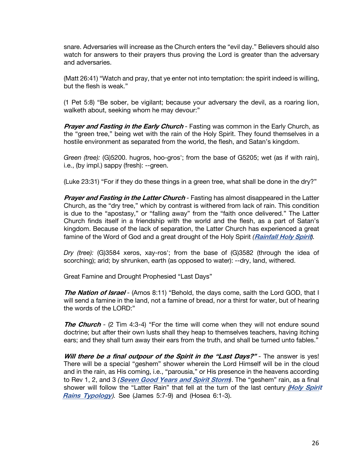snare. Adversaries will increase as the Church enters the "evil day." Believers should also watch for answers to their prayers thus proving the Lord is greater than the adversary and adversaries.

(Matt 26:41) "Watch and pray, that ye enter not into temptation: the spirit indeed is willing, but the flesh is weak."

(1 Pet 5:8) "Be sober, be vigilant; because your adversary the devil, as a roaring lion, walketh about, seeking whom he may devour:"

*Prayer and Fasting in the Early Church* - Fasting was common in the Early Church, as the "green tree," being wet with the rain of the Holy Spirit. They found themselves in a hostile environment as separated from the world, the flesh, and Satan's kingdom.

*Green (tree):* (G)5200. hugros, hoo-gros'; from the base of G5205; wet (as if with rain), i.e., (by impl.) sappy (fresh): --green.

(Luke 23:31) "For if they do these things in a green tree, what shall be done in the dry?"

**Prayer and Fasting in the Latter Church** - Fasting has almost disappeared in the Latter Church, as the "dry tree," which by contrast is withered from lack of rain. This condition is due to the "apostasy," or "falling away" from the "faith once delivered." The Latter Church finds itself in a friendship with the world and the flesh, as a part of Satan's kingdom. Because of the lack of separation, the Latter Church has experienced a great famine of the Word of God and a great drought of the Holy Spirit *(***[Rainfall Holy Spirit](https://graceassemblysandiego.info/wp-content/uploads/RainfallHolySpiritopt.pdf)***).*

*Dry (tree):* (G)3584 xeros, xay-ros'; from the base of (G)3582 (through the idea of scorching); arid; by shrunken, earth (as opposed to water): --dry, land, withered.

Great Famine and Drought Prophesied "Last Days"

**The Nation of Israel** *-* (Amos 8:11) "Behold, the days come, saith the Lord GOD, that I will send a famine in the land, not a famine of bread, nor a thirst for water, but of hearing the words of the LORD:"

**The Church** - (2 Tim 4:3-4) "For the time will come when they will not endure sound doctrine; but after their own lusts shall they heap to themselves teachers, having itching ears; and they shall turn away their ears from the truth, and shall be turned unto fables."

**Will there be a final outpour of the Spirit in the "Last Days?"** - The answer is yes! There will be a special "geshem" shower wherein the Lord Himself will be in the cloud and in the rain, as His coming, i.e., "parousia," or His presence in the heavens according to Rev 1, 2, and 3 *(***[Seven Good Years a](https://graceassemblysandiego.info/wp-content/uploads/SevenGoodYearsandSevenEvilYears.pdf)nd [Spirit Storm](https://graceassemblysandiego.info/wp-content/uploads/SpiritStorm.pdf)***)*. The "geshem" rain, as a final shower will follow the "Latter Rain" that fell at the turn of the last century *(***Holy [Spirit](https://graceassemblysandiego.info/wp-content/uploads/HolySpiritRainsTypology.pdf) Rains [Typology](https://graceassemblysandiego.info/wp-content/uploads/HolySpiritRainsTypology.pdf)**). See (James 5:7-9) and (Hosea 6:1-3).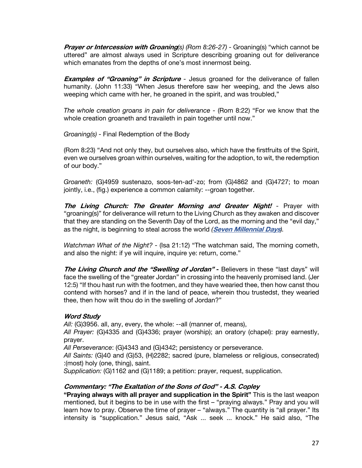*Prayer or Intercession with Groaning*(s) (Rom 8:26-27) - Groaning(s) "which cannot be uttered" are almost always used in Scripture describing groaning out for deliverance which emanates from the depths of one's most innermost being.

**Examples of "Groaning" in Scripture** - Jesus groaned for the deliverance of fallen humanity. (John 11:33) "When Jesus therefore saw her weeping, and the Jews also weeping which came with her, he groaned in the spirit, and was troubled,"

*The whole creation groans in pain for deliverance -* (Rom 8:22) "For we know that the whole creation groaneth and travaileth in pain together until now."

*Groaning(s)* - Final Redemption of the Body

(Rom 8:23) "And not only they, but ourselves also, which have the firstfruits of the Spirit, even we ourselves groan within ourselves, waiting for the adoption, to wit, the redemption of our body."

*Groaneth:* (G)4959 sustenazo, soos-ten-ad'-zo; from (G)4862 and (G)4727; to moan jointly, i.e., (fig.) experience a common calamity: --groan together.

**The Living Church: The Greater Morning and Greater Night!** - Prayer with "groaning(s)" for deliverance will return to the Living Church as they awaken and discover that they are standing on the Seventh Day of the Lord, as the morning and the "evil day," as the night, is beginning to steal across the world *(***[Seven Millennial Days](https://graceassemblysandiego.info/wp-content/uploads/SevenMillennialDaysopt.pdf)***).*

*Watchman What of the Night?* - (Isa 21:12) "The watchman said, The morning cometh, and also the night: if ye will inquire, inquire ye: return, come."

**The Living Church and the "Swelling of Jordan" -** Believers in these "last days" will face the swelling of the "greater Jordan" in crossing into the heavenly promised land. (Jer 12:5) "If thou hast run with the footmen, and they have wearied thee, then how canst thou contend with horses? and if in the land of peace, wherein thou trustedst, they wearied thee, then how wilt thou do in the swelling of Jordan?"

# **Word Study**

*All:* (G)3956. all, any, every, the whole: --all (manner of, means),

*All Prayer:* (G)4335 and (G)4336; prayer (worship); an oratory (chapel): pray earnestly, prayer.

*All Perseverance*: (G)4343 and (G)4342; persistency or perseverance.

*All Saints:* (G)40 and (G)53, (H)2282; sacred (pure, blameless or religious, consecrated) :(most) holy (one, thing), saint.

*Supplication:* (G)1162 and (G)1189; a petition: prayer, request, supplication.

# **Commentary: "The Exaltation of the Sons of God" - A.S. Copley**

**"Praying always with all prayer and supplication in the Spirit"** This is the last weapon mentioned, but it begins to be in use with the first – "praying always." Pray and you will learn how to pray. Observe the time of prayer – "always." The quantity is "all prayer." Its intensity is "supplication." Jesus said, "Ask ... seek ... knock." He said also, "The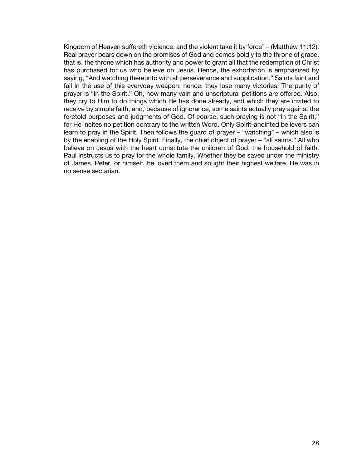Kingdom of Heaven suffereth violence, and the violent take it by force" – (Matthew 11:12). Real prayer bears down on the promises of God and comes boldly to the throne of grace, that is, the throne which has authority and power to grant all that the redemption of Christ has purchased for us who believe on Jesus. Hence, the exhortation is emphasized by saying, "And watching thereunto with all perseverance and supplication." Saints faint and fail in the use of this everyday weapon; hence, they lose many victories. The purity of prayer is "in the Spirit." Oh, how many vain and unscriptural petitions are offered. Also, they cry to Him to do things which He has done already, and which they are invited to receive by simple faith, and, because of ignorance, some saints actually pray against the foretold purposes and judgments of God. Of course, such praying is not "in the Spirit," for He incites no petition contrary to the written Word. Only Spirit-anointed believers can learn to pray in the Spirit. Then follows the guard of prayer – "watching" – which also is by the enabling of the Holy Spirit. Finally, the chief object of prayer – "all saints." All who believe on Jesus with the heart constitute the children of God, the household of faith. Paul instructs us to pray for the whole family. Whether they be saved under the ministry of James, Peter, or himself, he loved them and sought their highest welfare. He was in no sense sectarian.